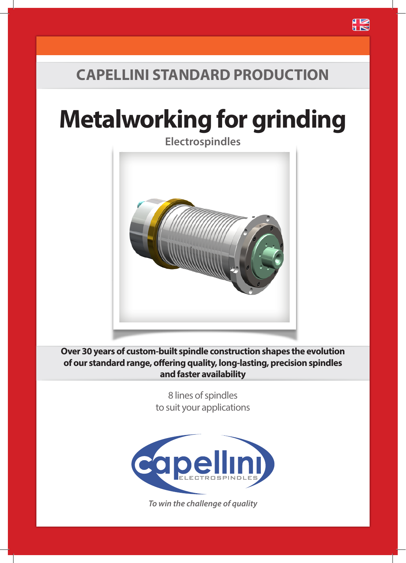## **CAPELLINI STANDARD PRODUCTION**

# **Metalworking for grinding**



**Over 30 years of custom-built spindle construction shapes the evolution of our standard range, offering quality, long-lasting, precision spindles and faster availability**

> 8 lines of spindles to suit your applications



*To win the challenge of quality*